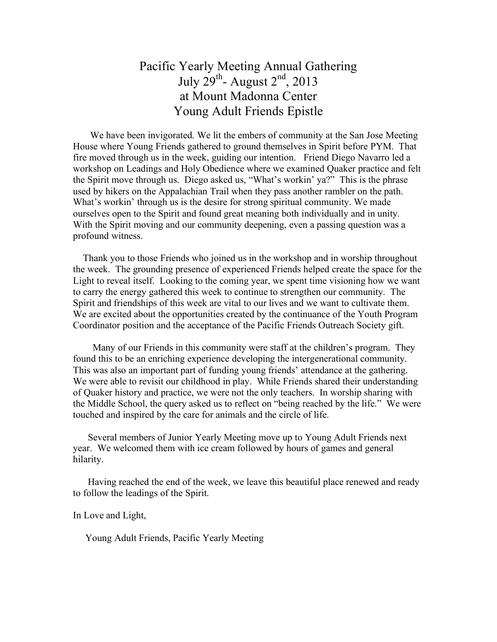## Pacific Yearly Meeting Annual Gathering July 29<sup>th</sup>- August  $2<sup>nd</sup>$ , 2013 at Mount Madonna Center Young Adult Friends Epistle

 We have been invigorated. We lit the embers of community at the San Jose Meeting House where Young Friends gathered to ground themselves in Spirit before PYM. That fire moved through us in the week, guiding our intention. Friend Diego Navarro led a workshop on Leadings and Holy Obedience where we examined Quaker practice and felt the Spirit move through us. Diego asked us, "What's workin' ya?" This is the phrase used by hikers on the Appalachian Trail when they pass another rambler on the path. What's workin' through us is the desire for strong spiritual community. We made ourselves open to the Spirit and found great meaning both individually and in unity. With the Spirit moving and our community deepening, even a passing question was a profound witness.

 Thank you to those Friends who joined us in the workshop and in worship throughout the week. The grounding presence of experienced Friends helped create the space for the Light to reveal itself. Looking to the coming year, we spent time visioning how we want to carry the energy gathered this week to continue to strengthen our community. The Spirit and friendships of this week are vital to our lives and we want to cultivate them. We are excited about the opportunities created by the continuance of the Youth Program Coordinator position and the acceptance of the Pacific Friends Outreach Society gift.

 Many of our Friends in this community were staff at the children's program. They found this to be an enriching experience developing the intergenerational community. This was also an important part of funding young friends' attendance at the gathering. We were able to revisit our childhood in play. While Friends shared their understanding of Quaker history and practice, we were not the only teachers. In worship sharing with the Middle School, the query asked us to reflect on "being reached by the life." We were touched and inspired by the care for animals and the circle of life.

 Several members of Junior Yearly Meeting move up to Young Adult Friends next year. We welcomed them with ice cream followed by hours of games and general hilarity.

 Having reached the end of the week, we leave this beautiful place renewed and ready to follow the leadings of the Spirit.

In Love and Light,

Young Adult Friends, Pacific Yearly Meeting